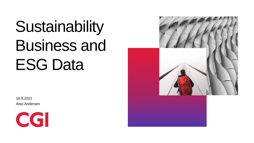# Sustainability Business and ESG Data

16.9.2021 Atso Andersen



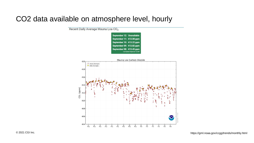#### CO2 data available on atmosphere level, hourly

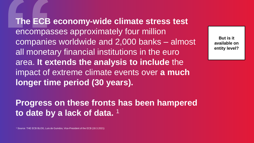**The ECB economy-wide climate stress test**  encompasses approximately four million companies worldwide and 2,000 banks – almost all monetary financial institutions in the euro area. **It extends the analysis to include** the impact of extreme climate events over **a much longer time period (30 years).**

**But is it available on entity level?**

### **Progress on these fronts has been hampered to date by a lack of data.** <sup>1</sup>

<sup>1</sup> Source: THE ECB BLOG, Luis de Guindos, Vice-President of the ECB (18.3.2021)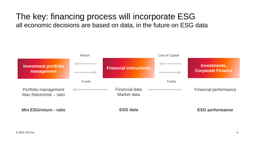#### The key: financing process will incorporate ESG all economic decisions are based on data, in the future on ESG data

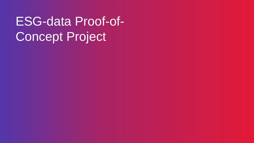### ESG-data Proof-of-Concept Project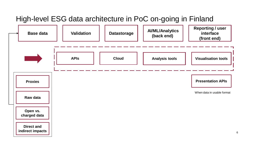#### High-level ESG data architecture in PoC on-going in Finland



6